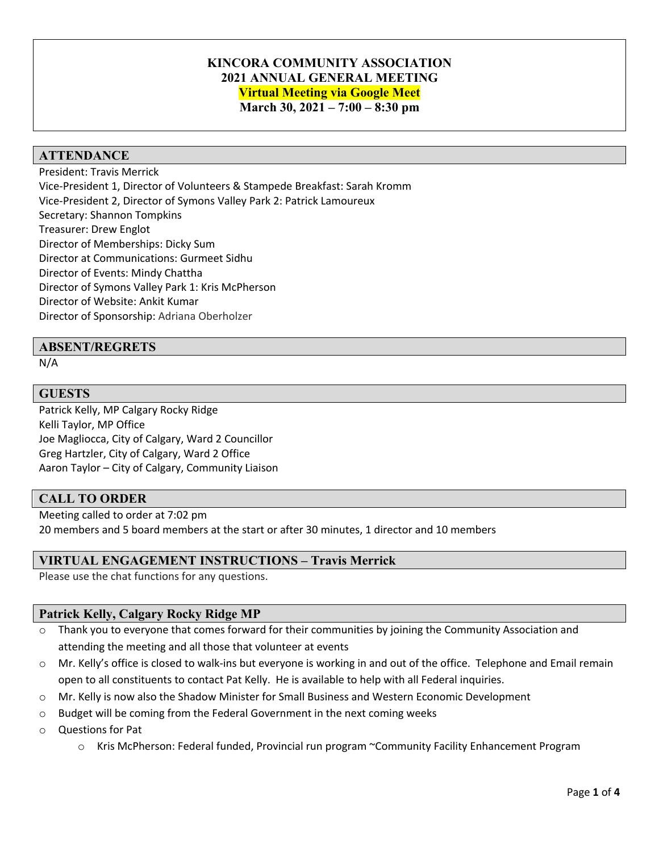# **KINCORA COMMUNITY ASSOCIATION 2021 ANNUAL GENERAL MEETING Virtual Meeting via Google Meet March 30, 2021 – 7:00 – 8:30 pm**

### **ATTENDANCE**

President: Travis Merrick Vice-President 1, Director of Volunteers & Stampede Breakfast: Sarah Kromm Vice-President 2, Director of Symons Valley Park 2: Patrick Lamoureux Secretary: Shannon Tompkins Treasurer: Drew Englot Director of Memberships: Dicky Sum Director at Communications: Gurmeet Sidhu Director of Events: Mindy Chattha Director of Symons Valley Park 1: Kris McPherson Director of Website: Ankit Kumar Director of Sponsorship: Adriana Oberholzer

#### **ABSENT/REGRETS**

N/A

#### **GUESTS**

Patrick Kelly, MP Calgary Rocky Ridge Kelli Taylor, MP Office Joe Magliocca, City of Calgary, Ward 2 Councillor Greg Hartzler, City of Calgary, Ward 2 Office Aaron Taylor – City of Calgary, Community Liaison

## **CALL TO ORDER**

Meeting called to order at 7:02 pm 20 members and 5 board members at the start or after 30 minutes, 1 director and 10 members

#### **VIRTUAL ENGAGEMENT INSTRUCTIONS – Travis Merrick**

Please use the chat functions for any questions.

#### **Patrick Kelly, Calgary Rocky Ridge MP**

- o Thank you to everyone that comes forward for their communities by joining the Community Association and attending the meeting and all those that volunteer at events
- $\circ$  Mr. Kelly's office is closed to walk-ins but everyone is working in and out of the office. Telephone and Email remain open to all constituents to contact Pat Kelly. He is available to help with all Federal inquiries.
- o Mr. Kelly is now also the Shadow Minister for Small Business and Western Economic Development
- o Budget will be coming from the Federal Government in the next coming weeks
- o Questions for Pat
	- o Kris McPherson: Federal funded, Provincial run program ~Community Facility Enhancement Program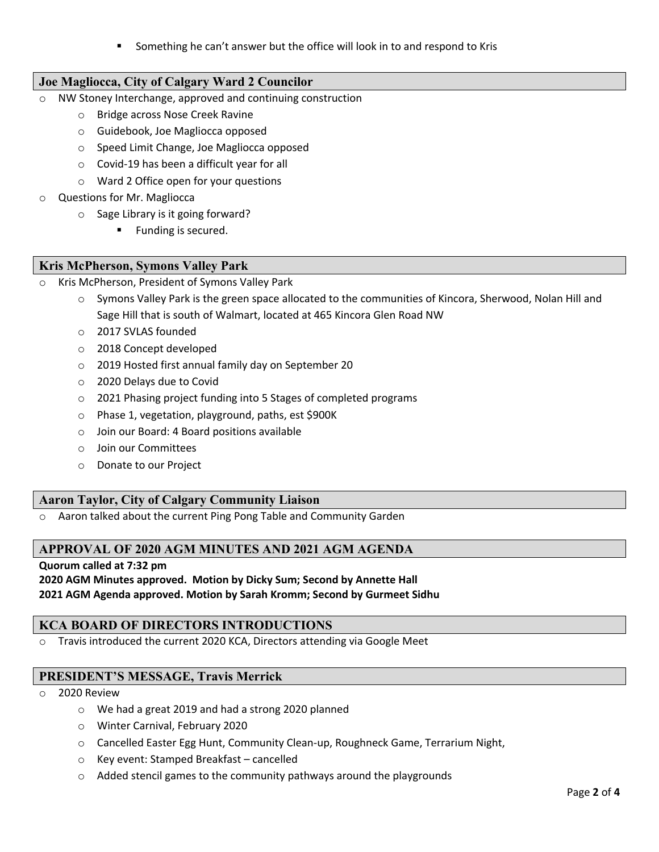Something he can't answer but the office will look in to and respond to Kris

# **Joe Magliocca, City of Calgary Ward 2 Councilor**

- o NW Stoney Interchange, approved and continuing construction
	- o Bridge across Nose Creek Ravine
	- o Guidebook, Joe Magliocca opposed
	- o Speed Limit Change, Joe Magliocca opposed
	- o Covid-19 has been a difficult year for all
	- o Ward 2 Office open for your questions
- o Questions for Mr. Magliocca
	- o Sage Library is it going forward?
		- Funding is secured.

#### **Kris McPherson, Symons Valley Park**

- Kris McPherson, President of Symons Valley Park
	- o Symons Valley Park is the green space allocated to the communities of Kincora, Sherwood, Nolan Hill and Sage Hill that is south of Walmart, located at 465 Kincora Glen Road NW
	- o 2017 SVLAS founded
	- o 2018 Concept developed
	- o 2019 Hosted first annual family day on September 20
	- o 2020 Delays due to Covid
	- o 2021 Phasing project funding into 5 Stages of completed programs
	- o Phase 1, vegetation, playground, paths, est \$900K
	- o Join our Board: 4 Board positions available
	- o Join our Committees
	- o Donate to our Project

## **Aaron Taylor, City of Calgary Community Liaison**

Aaron talked about the current Ping Pong Table and Community Garden

# **APPROVAL OF 2020 AGM MINUTES AND 2021 AGM AGENDA**

#### **Quorum called at 7:32 pm**

#### **2020 AGM Minutes approved. Motion by Dicky Sum; Second by Annette Hall 2021 AGM Agenda approved. Motion by Sarah Kromm; Second by Gurmeet Sidhu**

## **KCA BOARD OF DIRECTORS INTRODUCTIONS**

o Travis introduced the current 2020 KCA, Directors attending via Google Meet

## **PRESIDENT'S MESSAGE, Travis Merrick**

#### 2020 Review

- o We had a great 2019 and had a strong 2020 planned
- o Winter Carnival, February 2020
- o Cancelled Easter Egg Hunt, Community Clean-up, Roughneck Game, Terrarium Night,
- o Key event: Stamped Breakfast cancelled
- o Added stencil games to the community pathways around the playgrounds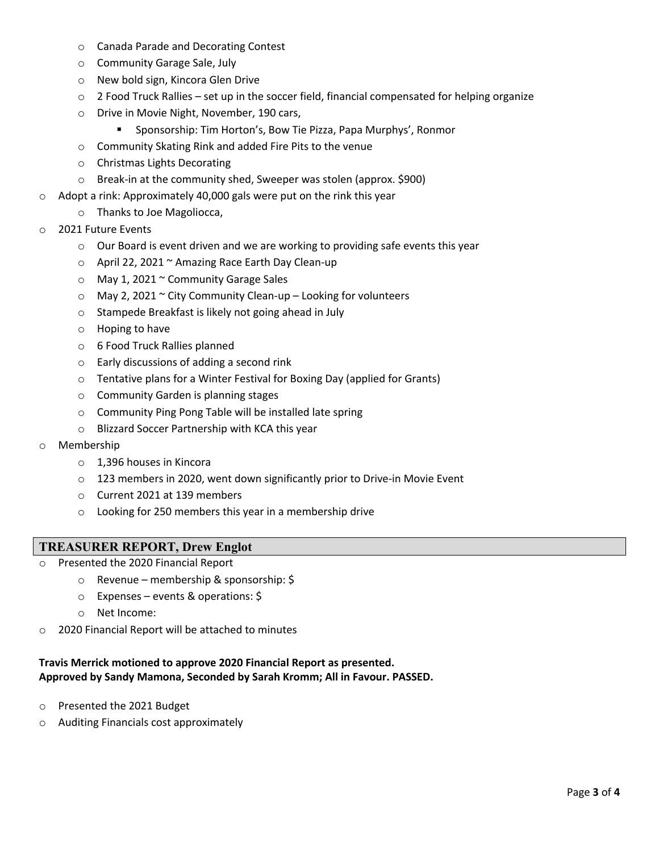- o Canada Parade and Decorating Contest
- o Community Garage Sale, July
- o New bold sign, Kincora Glen Drive
- $\circ$  2 Food Truck Rallies set up in the soccer field, financial compensated for helping organize
- o Drive in Movie Night, November, 190 cars,
	- Sponsorship: Tim Horton's, Bow Tie Pizza, Papa Murphys', Ronmor
- o Community Skating Rink and added Fire Pits to the venue
- o Christmas Lights Decorating
- o Break-in at the community shed, Sweeper was stolen (approx. \$900)
- o Adopt a rink: Approximately 40,000 gals were put on the rink this year

#### o Thanks to Joe Magoliocca,

- o 2021 Future Events
	- $\circ$  Our Board is event driven and we are working to providing safe events this year
	- o April 22, 2021 ~ Amazing Race Earth Day Clean-up
	- o May 1, 2021 ~ Community Garage Sales
	- $\circ$  May 2, 2021 ~ City Community Clean-up Looking for volunteers
	- o Stampede Breakfast is likely not going ahead in July
	- o Hoping to have
	- o 6 Food Truck Rallies planned
	- o Early discussions of adding a second rink
	- o Tentative plans for a Winter Festival for Boxing Day (applied for Grants)
	- o Community Garden is planning stages
	- o Community Ping Pong Table will be installed late spring
	- o Blizzard Soccer Partnership with KCA this year
- o Membership
	- o 1,396 houses in Kincora
	- o 123 members in 2020, went down significantly prior to Drive-in Movie Event
	- o Current 2021 at 139 members
	- o Looking for 250 members this year in a membership drive

#### **TREASURER REPORT, Drew Englot**

- o Presented the 2020 Financial Report
	- o Revenue membership & sponsorship: \$
	- o Expenses events & operations: \$
	- o Net Income:
- o 2020 Financial Report will be attached to minutes

# **Travis Merrick motioned to approve 2020 Financial Report as presented. Approved by Sandy Mamona, Seconded by Sarah Kromm; All in Favour. PASSED.**

- o Presented the 2021 Budget
- o Auditing Financials cost approximately